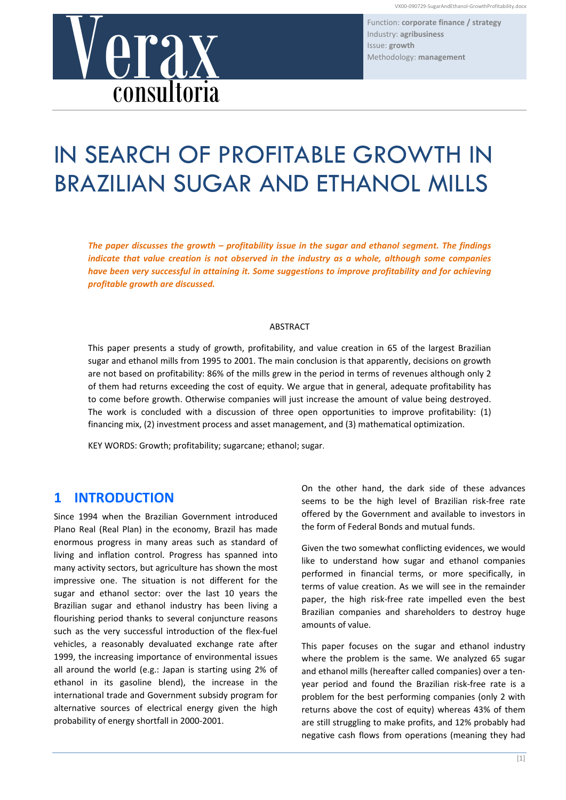Function: **corporate finance / strategy** Industry: **agribusiness**

# VX00-090729-SugarAndEthand<br>
ISSUE: growth<br>
Methodology: management<br> **CONSULTOFIA** consultoria

# IN SEARCH OF PROFITABLE GROWTH IN BRAZILIAN SUGAR AND ETHANOL MILLS

*The paper discusses the growth – profitability issue in the sugar and ethanol segment. The findings indicate that value creation is not observed in the industry as a whole, although some companies have been very successful in attaining it. Some suggestions to improve profitability and for achieving profitable growth are discussed.*

### ABSTRACT

This paper presents a study of growth, profitability, and value creation in 65 of the largest Brazilian sugar and ethanol mills from 1995 to 2001. The main conclusion is that apparently, decisions on growth are not based on profitability: 86% of the mills grew in the period in terms of revenues although only 2 of them had returns exceeding the cost of equity. We argue that in general, adequate profitability has to come before growth. Otherwise companies will just increase the amount of value being destroyed. The work is concluded with a discussion of three open opportunities to improve profitability: (1) financing mix, (2) investment process and asset management, and (3) mathematical optimization.

KEY WORDS: Growth; profitability; sugarcane; ethanol; sugar.

### **1 INTRODUCTION**

Since 1994 when the Brazilian Government introduced Plano Real (Real Plan) in the economy, Brazil has made enormous progress in many areas such as standard of living and inflation control. Progress has spanned into many activity sectors, but agriculture has shown the most impressive one. The situation is not different for the sugar and ethanol sector: over the last 10 years the Brazilian sugar and ethanol industry has been living a flourishing period thanks to several conjuncture reasons such as the very successful introduction of the flex-fuel vehicles, a reasonably devaluated exchange rate after 1999, the increasing importance of environmental issues all around the world (e.g.: Japan is starting using 2% of ethanol in its gasoline blend), the increase in the international trade and Government subsidy program for alternative sources of electrical energy given the high probability of energy shortfall in 2000‐2001.

On the other hand, the dark side of these advances seems to be the high level of Brazilian risk‐free rate offered by the Government and available to investors in the form of Federal Bonds and mutual funds.

Given the two somewhat conflicting evidences, we would like to understand how sugar and ethanol companies performed in financial terms, or more specifically, in terms of value creation. As we will see in the remainder paper, the high risk-free rate impelled even the best Brazilian companies and shareholders to destroy huge amounts of value.

This paper focuses on the sugar and ethanol industry where the problem is the same. We analyzed 65 sugar and ethanol mills (hereafter called companies) over a ten‐ year period and found the Brazilian risk‐free rate is a problem for the best performing companies (only 2 with returns above the cost of equity) whereas 43% of them are still struggling to make profits, and 12% probably had negative cash flows from operations (meaning they had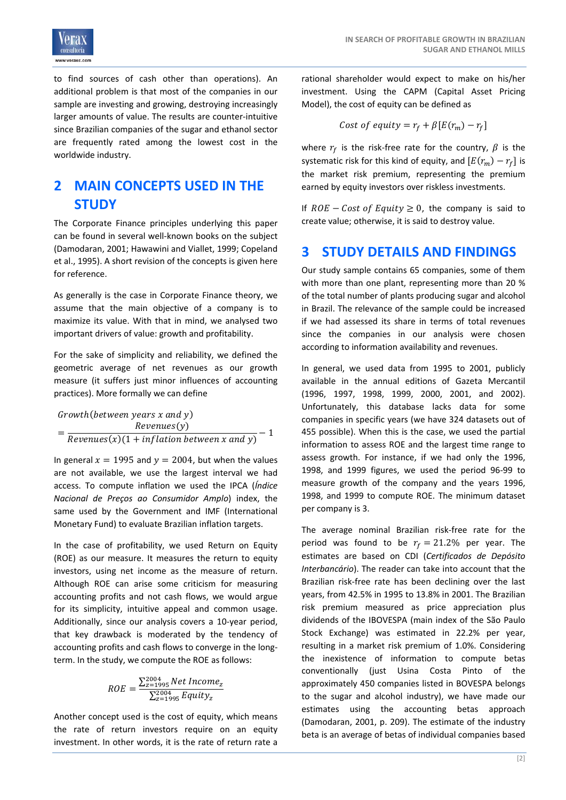

to find sources of cash other than operations). An additional problem is that most of the companies in our sample are investing and growing, destroying increasingly larger amounts of value. The results are counter‐intuitive since Brazilian companies of the sugar and ethanol sector are frequently rated among the lowest cost in the worldwide industry.

# **2 MAIN CONCEPTS USED IN THE STUDY**

The Corporate Finance principles underlying this paper can be found in several well-known books on the subject (Damodaran, 2001; Hawawini and Viallet, 1999; Copeland et al., 1995). A short revision of the concepts is given here for reference.

As generally is the case in Corporate Finance theory, we assume that the main objective of a company is to maximize its value. With that in mind, we analysed two important drivers of value: growth and profitability.

For the sake of simplicity and reliability, we defined the geometric average of net revenues as our growth measure (it suffers just minor influences of accounting practices). More formally we can define

 $Growth(between \text{ years} \text{ x and \text{ y}})$ Revenues(y)  $=\frac{1000 \text{ m} \cdot \text{m} \cdot \text{m}}{$  Revenues(x)(1 + inflation between x and y)  $-1$ 

In general  $x = 1995$  and  $y = 2004$ , but when the values are not available, we use the largest interval we had access. To compute inflation we used the IPCA (*Índice Nacional de Preços ao Consumidor Amplo*) index, the same used by the Government and IMF (International Monetary Fund) to evaluate Brazilian inflation targets.

In the case of profitability, we used Return on Equity (ROE) as our measure. It measures the return to equity investors, using net income as the measure of return. Although ROE can arise some criticism for measuring accounting profits and not cash flows, we would argue for its simplicity, intuitive appeal and common usage. Additionally, since our analysis covers a 10‐year period, that key drawback is moderated by the tendency of accounting profits and cash flows to converge in the long‐ term. In the study, we compute the ROE as follows:

$$
ROE = \frac{\sum_{z=1995}^{2004} Net Income_z}{\sum_{z=1995}^{2004} Equity_z}
$$

Another concept used is the cost of equity, which means the rate of return investors require on an equity investment. In other words, it is the rate of return rate a rational shareholder would expect to make on his/her investment. Using the CAPM (Capital Asset Pricing Model), the cost of equity can be defined as

$$
Cost\ of\ equity = r_f + \beta \left[E(r_m) - r_f\right]
$$

where  $r_f$  is the risk-free rate for the country,  $\beta$  is the systematic risk for this kind of equity, and  $[E(r_m) - r_f]$  is the market risk premium, representing the premium earned by equity investors over riskless investments.

If  $ROE - Cost of Equity \geq 0$ , the company is said to create value; otherwise, it is said to destroy value.

### **3 STUDY DETAILS AND FINDINGS**

Our study sample contains 65 companies, some of them with more than one plant, representing more than 20 % of the total number of plants producing sugar and alcohol in Brazil. The relevance of the sample could be increased if we had assessed its share in terms of total revenues since the companies in our analysis were chosen according to information availability and revenues.

In general, we used data from 1995 to 2001, publicly available in the annual editions of Gazeta Mercantil (1996, 1997, 1998, 1999, 2000, 2001, and 2002). Unfortunately, this database lacks data for some companies in specific years (we have 324 datasets out of 455 possible). When this is the case, we used the partial information to assess ROE and the largest time range to assess growth. For instance, if we had only the 1996, 1998, and 1999 figures, we used the period 96‐99 to measure growth of the company and the years 1996, 1998, and 1999 to compute ROE. The minimum dataset per company is 3.

The average nominal Brazilian risk‐free rate for the period was found to be  $r_f = 21.2\%$  per year. The estimates are based on CDI (*Certificados de Depósito Interbancário*). The reader can take into account that the Brazilian risk‐free rate has been declining over the last years, from 42.5% in 1995 to 13.8% in 2001. The Brazilian risk premium measured as price appreciation plus dividends of the IBOVESPA (main index of the São Paulo Stock Exchange) was estimated in 22.2% per year, resulting in a market risk premium of 1.0%. Considering the inexistence of information to compute betas conventionally (just Usina Costa Pinto of the approximately 450 companies listed in BOVESPA belongs to the sugar and alcohol industry), we have made our estimates using the accounting betas approach (Damodaran, 2001, p. 209). The estimate of the industry beta is an average of betas of individual companies based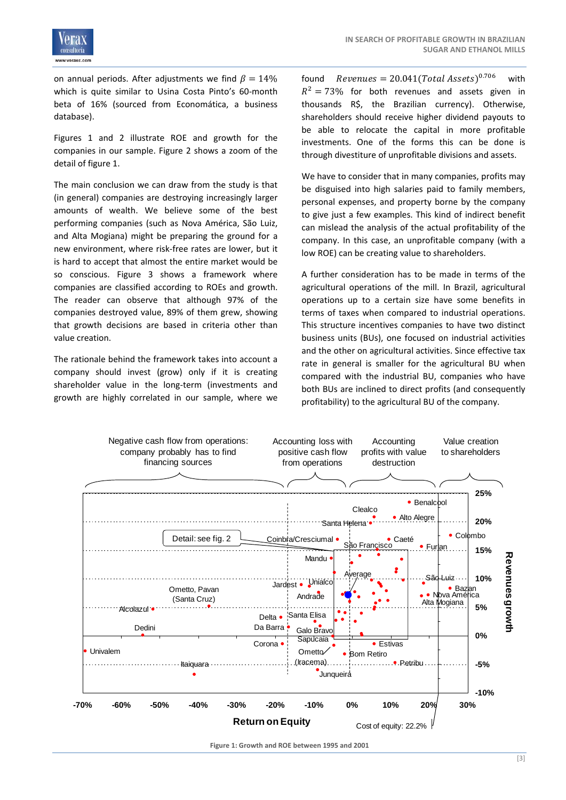

on annual periods. After adjustments we find  $\beta = 14\%$ which is quite similar to Usina Costa Pinto's 60-month beta of 16% (sourced from Economática, a business database).

Figures 1 and 2 illustrate ROE and growth for the companies in our sample. Figure 2 shows a zoom of the detail of figure 1.

The main conclusion we can draw from the study is that (in general) companies are destroying increasingly larger amounts of wealth. We believe some of the best performing companies (such as Nova América, São Luiz, and Alta Mogiana) might be preparing the ground for a new environment, where risk‐free rates are lower, but it is hard to accept that almost the entire market would be so conscious. Figure 3 shows a framework where companies are classified according to ROEs and growth. The reader can observe that although 97% of the companies destroyed value, 89% of them grew, showing that growth decisions are based in criteria other than value creation.

The rationale behind the framework takes into account a company should invest (grow) only if it is creating shareholder value in the long-term (investments and growth are highly correlated in our sample, where we found  $Revenues = 20.041 (Total Assets)^{0.706}$  with  $R^2 = 73\%$  for both revenues and assets given in thousands R\$, the Brazilian currency). Otherwise, shareholders should receive higher dividend payouts to be able to relocate the capital in more profitable investments. One of the forms this can be done is through divestiture of unprofitable divisions and assets.

We have to consider that in many companies, profits may be disguised into high salaries paid to family members, personal expenses, and property borne by the company to give just a few examples. This kind of indirect benefit can mislead the analysis of the actual profitability of the company. In this case, an unprofitable company (with a low ROE) can be creating value to shareholders.

A further consideration has to be made in terms of the agricultural operations of the mill. In Brazil, agricultural operations up to a certain size have some benefits in terms of taxes when compared to industrial operations. This structure incentives companies to have two distinct business units (BUs), one focused on industrial activities and the other on agricultural activities. Since effective tax rate in general is smaller for the agricultural BU when compared with the industrial BU, companies who have both BUs are inclined to direct profits (and consequently profitability) to the agricultural BU of the company.



**Figure 1: Growth and ROE between 1995 and 2001**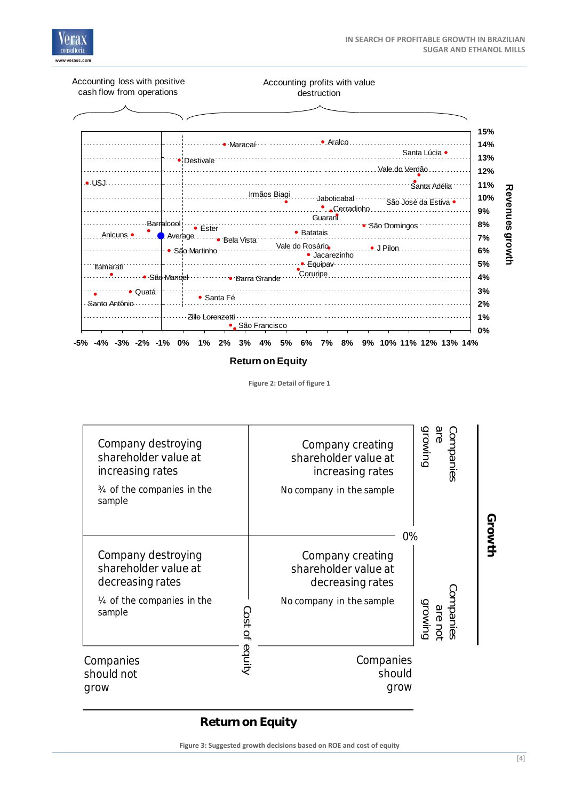



**Figure 2: Detail of figure 1**



**Figure 3: Suggested growth decisions based on ROE and cost of equity**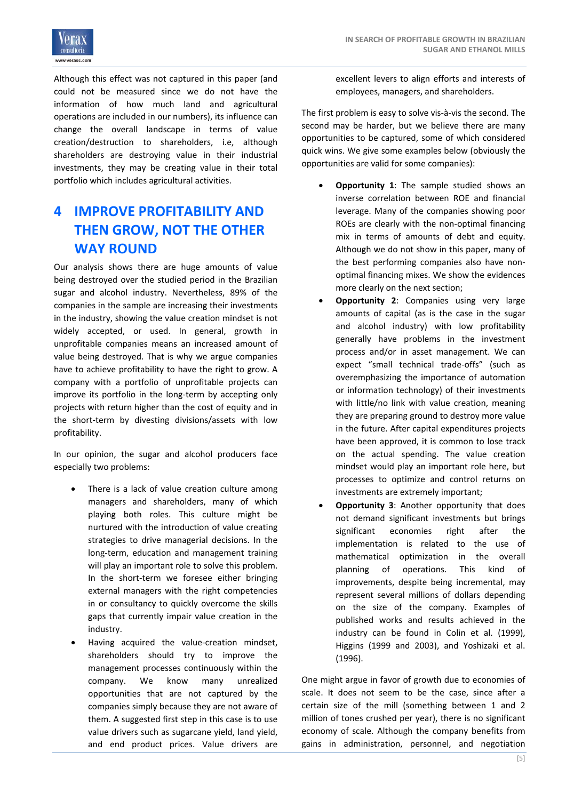

Although this effect was not captured in this paper (and could not be measured since we do not have the information of how much land and agricultural operations are included in our numbers), its influence can change the overall landscape in terms of value creation/destruction to shareholders, i.e, although shareholders are destroying value in their industrial investments, they may be creating value in their total portfolio which includes agricultural activities.

## **4 IMPROVE PROFITABILITY AND THEN GROW, NOT THE OTHER WAY ROUND**

Our analysis shows there are huge amounts of value being destroyed over the studied period in the Brazilian sugar and alcohol industry. Nevertheless, 89% of the companies in the sample are increasing their investments in the industry, showing the value creation mindset is not widely accepted, or used. In general, growth in unprofitable companies means an increased amount of value being destroyed. That is why we argue companies have to achieve profitability to have the right to grow. A company with a portfolio of unprofitable projects can improve its portfolio in the long‐term by accepting only projects with return higher than the cost of equity and in the short-term by divesting divisions/assets with low profitability.

In our opinion, the sugar and alcohol producers face especially two problems:

- There is a lack of value creation culture among managers and shareholders, many of which playing both roles. This culture might be nurtured with the introduction of value creating strategies to drive managerial decisions. In the long‐term, education and management training will play an important role to solve this problem. In the short‐term we foresee either bringing external managers with the right competencies in or consultancy to quickly overcome the skills gaps that currently impair value creation in the industry.
- Having acquired the value‐creation mindset, shareholders should try to improve the management processes continuously within the company. We know many unrealized opportunities that are not captured by the companies simply because they are not aware of them. A suggested first step in this case is to use value drivers such as sugarcane yield, land yield, and end product prices. Value drivers are

excellent levers to align efforts and interests of employees, managers, and shareholders.

The first problem is easy to solve vis‐à‐vis the second. The second may be harder, but we believe there are many opportunities to be captured, some of which considered quick wins. We give some examples below (obviously the opportunities are valid for some companies):

- **Opportunity 1**: The sample studied shows an inverse correlation between ROE and financial leverage. Many of the companies showing poor ROEs are clearly with the non‐optimal financing mix in terms of amounts of debt and equity. Although we do not show in this paper, many of the best performing companies also have non‐ optimal financing mixes. We show the evidences more clearly on the next section;
- **Opportunity 2**: Companies using very large amounts of capital (as is the case in the sugar and alcohol industry) with low profitability generally have problems in the investment process and/or in asset management. We can expect "small technical trade‐offs" (such as overemphasizing the importance of automation or information technology) of their investments with little/no link with value creation, meaning they are preparing ground to destroy more value in the future. After capital expenditures projects have been approved, it is common to lose track on the actual spending. The value creation mindset would play an important role here, but processes to optimize and control returns on investments are extremely important;
- **Opportunity 3**: Another opportunity that does not demand significant investments but brings significant economies right after the implementation is related to the use of mathematical optimization in the overall planning of operations. This kind of improvements, despite being incremental, may represent several millions of dollars depending on the size of the company. Examples of published works and results achieved in the industry can be found in Colin et al. (1999), Higgins (1999 and 2003), and Yoshizaki et al. (1996).

One might argue in favor of growth due to economies of scale. It does not seem to be the case, since after a certain size of the mill (something between 1 and 2 million of tones crushed per year), there is no significant economy of scale. Although the company benefits from gains in administration, personnel, and negotiation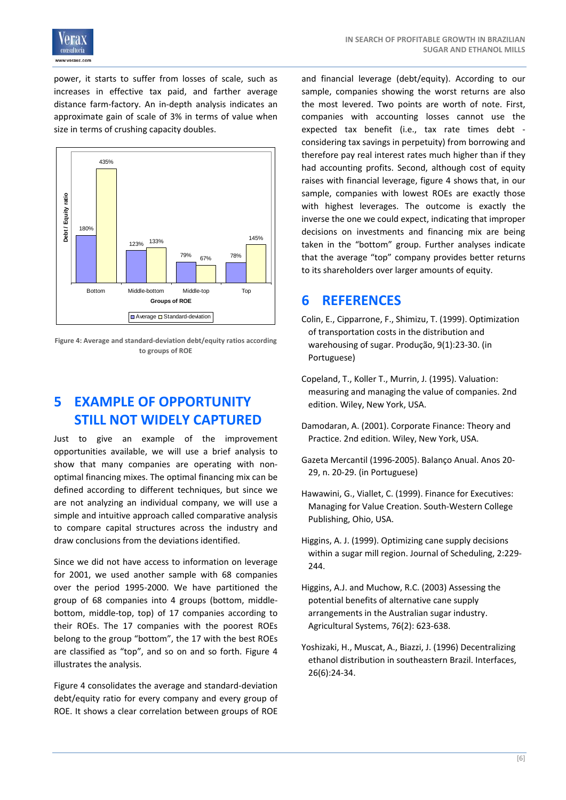

power, it starts to suffer from losses of scale, such as increases in effective tax paid, and farther average distance farm‐factory. An in‐depth analysis indicates an approximate gain of scale of 3% in terms of value when size in terms of crushing capacity doubles.



**Figure 4: Average and standard‐deviation debt/equity ratios according to groups of ROE**

# **5 EXAMPLE OF OPPORTUNITY STILL NOT WIDELY CAPTURED**

Just to give an example of the improvement opportunities available, we will use a brief analysis to show that many companies are operating with non‐ optimal financing mixes. The optimal financing mix can be defined according to different techniques, but since we are not analyzing an individual company, we will use a simple and intuitive approach called comparative analysis to compare capital structures across the industry and draw conclusions from the deviations identified.

Since we did not have access to information on leverage for 2001, we used another sample with 68 companies over the period 1995‐2000. We have partitioned the group of 68 companies into 4 groups (bottom, middle‐ bottom, middle‐top, top) of 17 companies according to their ROEs. The 17 companies with the poorest ROEs belong to the group "bottom", the 17 with the best ROEs are classified as "top", and so on and so forth. Figure 4 illustrates the analysis.

Figure 4 consolidates the average and standard‐deviation debt/equity ratio for every company and every group of ROE. It shows a clear correlation between groups of ROE

and financial leverage (debt/equity). According to our sample, companies showing the worst returns are also the most levered. Two points are worth of note. First, companies with accounting losses cannot use the expected tax benefit (i.e., tax rate times debt ‐ considering tax savings in perpetuity) from borrowing and therefore pay real interest rates much higher than if they had accounting profits. Second, although cost of equity raises with financial leverage, figure 4 shows that, in our sample, companies with lowest ROEs are exactly those with highest leverages. The outcome is exactly the inverse the one we could expect, indicating that improper decisions on investments and financing mix are being taken in the "bottom" group. Further analyses indicate that the average "top" company provides better returns to its shareholders over larger amounts of equity.

### **6 REFERENCES**

- Colin, E., Cipparrone, F., Shimizu, T. (1999). Optimization of transportation costs in the distribution and warehousing of sugar. Produção, 9(1):23‐30. (in Portuguese)
- Copeland, T., Koller T., Murrin, J. (1995). Valuation: measuring and managing the value of companies. 2nd edition. Wiley, New York, USA.
- Damodaran, A. (2001). Corporate Finance: Theory and Practice. 2nd edition. Wiley, New York, USA.
- Gazeta Mercantil (1996‐2005). Balanço Anual. Anos 20‐ 29, n. 20‐29. (in Portuguese)
- Hawawini, G., Viallet, C. (1999). Finance for Executives: Managing for Value Creation. South‐Western College Publishing, Ohio, USA.
- Higgins, A. J. (1999). Optimizing cane supply decisions within a sugar mill region. Journal of Scheduling, 2:229‐ 244.
- Higgins, A.J. and Muchow, R.C. (2003) Assessing the potential benefits of alternative cane supply arrangements in the Australian sugar industry. Agricultural Systems, 76(2): 623‐638.
- Yoshizaki, H., Muscat, A., Biazzi, J. (1996) Decentralizing ethanol distribution in southeastern Brazil. Interfaces, 26(6):24‐34.